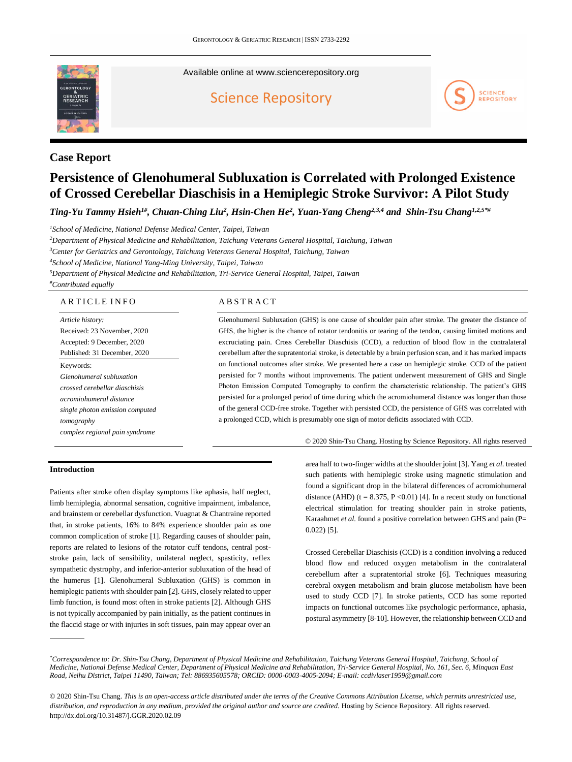

Available online at [www.sciencerepository.org](https://www.sciencerepository.org/gerontology-and-geriatric-research)

[Science Repository](https://www.sciencerepository.org/)



### **Case Report**

# **Persistence of Glenohumeral Subluxation is Correlated with Prolonged Existence of Crossed Cerebellar Diaschisis in a Hemiplegic Stroke Survivor: A Pilot Study**

*Ting-Yu Tammy Hsieh1#, Chuan-Ching Liu<sup>2</sup> , Hsin-Chen He<sup>2</sup> , Yuan-Yang Cheng2,3,4 and Shin-Tsu Chang1,2,5\*#*

*<sup>1</sup>School of Medicine, National Defense Medical Center, Taipei, Taiwan*

*<sup>2</sup>Department of Physical Medicine and Rehabilitation, Taichung Veterans General Hospital, Taichung, Taiwan*

*<sup>3</sup>Center for Geriatrics and Gerontology, Taichung Veterans General Hospital, Taichung, Taiwan*

*<sup>4</sup>School of Medicine, National Yang-Ming University, Taipei, Taiwan*

*<sup>5</sup>Department of Physical Medicine and Rehabilitation, Tri-Service General Hospital, Taipei, Taiwan #Contributed equally*

### ARTICLE INFO

*Article history:* Received: 23 November, 2020 Accepted: 9 December, 2020 Published: 31 December, 2020 Keywords: *Glenohumeral subluxation crossed cerebellar diaschisis acromiohumeral distance single photon emission computed tomography complex regional pain syndrome*

### A B S T R A C T

Glenohumeral Subluxation (GHS) is one cause of shoulder pain after stroke. The greater the distance of GHS, the higher is the chance of rotator tendonitis or tearing of the tendon, causing limited motions and excruciating pain. Cross Cerebellar Diaschisis (CCD), a reduction of blood flow in the contralateral cerebellum after the supratentorial stroke, is detectable by a brain perfusion scan, and it has marked impacts on functional outcomes after stroke. We presented here a case on hemiplegic stroke. CCD of the patient persisted for 7 months without improvements. The patient underwent measurement of GHS and Single Photon Emission Computed Tomography to confirm the characteristic relationship. The patient's GHS persisted for a prolonged period of time during which the acromiohumeral distance was longer than those of the general CCD-free stroke. Together with persisted CCD, the persistence of GHS was correlated with a prolonged CCD, which is presumably one sign of motor deficits associated with CCD.

#### **Introduction**

Patients after stroke often display symptoms like aphasia, half neglect, limb hemiplegia, abnormal sensation, cognitive impairment, imbalance, and brainstem or cerebellar dysfunction. Vuagnat & Chantraine reported that, in stroke patients, 16% to 84% experience shoulder pain as one common complication of stroke [1]. Regarding causes of shoulder pain, reports are related to lesions of the rotator cuff tendons, central poststroke pain, lack of sensibility, unilateral neglect, spasticity, reflex sympathetic dystrophy, and inferior-anterior subluxation of the head of the humerus [1]. Glenohumeral Subluxation (GHS) is common in hemiplegic patients with shoulder pain [2]. GHS, closely related to upper limb function, is found most often in stroke patients [2]. Although GHS is not typically accompanied by pain initially, as the patient continues in the flaccid stage or with injuries in soft tissues, pain may appear over an

© 2020 Shin-Tsu Chang. Hosting by Science Repository. All rights reserved

area half to two-finger widths at the shoulder joint [3]. Yang *et al.* treated such patients with hemiplegic stroke using magnetic stimulation and found a significant drop in the bilateral differences of acromiohumeral distance (AHD) ( $t = 8.375$ ,  $P < 0.01$ ) [4]. In a recent study on functional electrical stimulation for treating shoulder pain in stroke patients, Karaahmet et al. found a positive correlation between GHS and pain (P= 0.022) [5].

Crossed Cerebellar Diaschisis (CCD) is a condition involving a reduced blood flow and reduced oxygen metabolism in the contralateral cerebellum after a supratentorial stroke [6]. Techniques measuring cerebral oxygen metabolism and brain glucose metabolism have been used to study CCD [7]. In stroke patients, CCD has some reported impacts on functional outcomes like psychologic performance, aphasia, postural asymmetry [8-10]. However, the relationship between CCD and

*<sup>\*</sup>Correspondence to: Dr. Shin-Tsu Chang, Department of Physical Medicine and Rehabilitation, Taichung Veterans General Hospital, Taichung, School of Medicine, National Defense Medical Center, Department of Physical Medicine and Rehabilitation, Tri-Service General Hospital, No. 161, Sec. 6, Minquan East Road, Neihu District, Taipei 11490, Taiwan; Tel: 886935605578; ORCID: 0000-0003-4005-2094; E-mail[: ccdivlaser1959@gmail.com](mailto:ccdivlaser1959@gmail.com)*

<sup>© 2020</sup> Shin-Tsu Chang. *This is an open-access article distributed under the terms of the Creative Commons Attribution License, which permits unrestricted use, distribution, and reproduction in any medium, provided the original author and source are credited.* Hosting by Science Repository. All rights reserved. <http://dx.doi.org/10.31487/j.GGR.2020.02.09>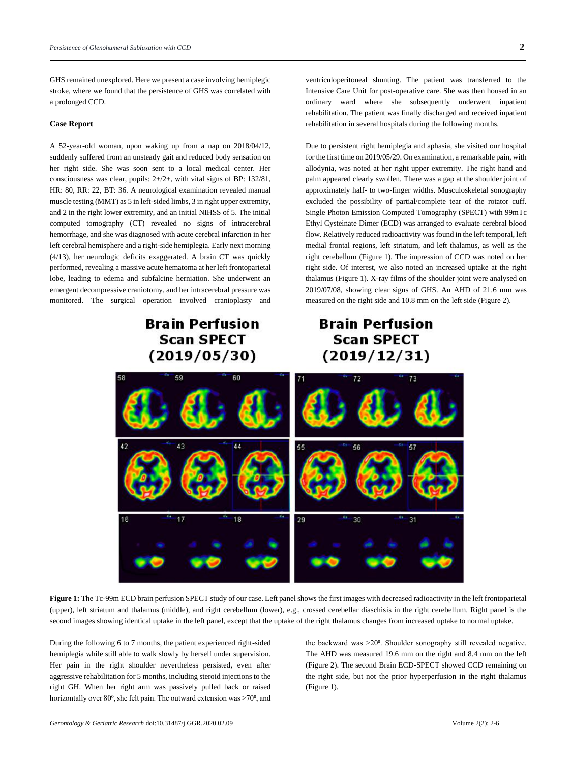GHS remained unexplored. Here we present a case involving hemiplegic stroke, where we found that the persistence of GHS was correlated with a prolonged CCD.

### **Case Report**

A 52-year-old woman, upon waking up from a nap on 2018/04/12, suddenly suffered from an unsteady gait and reduced body sensation on her right side. She was soon sent to a local medical center. Her consciousness was clear, pupils: 2+/2+, with vital signs of BP: 132/81, HR: 80, RR: 22, BT: 36. A neurological examination revealed manual muscle testing (MMT) as 5 in left-sided limbs, 3 in right upper extremity, and 2 in the right lower extremity, and an initial NIHSS of 5. The initial computed tomography (CT) revealed no signs of intracerebral hemorrhage, and she was diagnosed with acute cerebral infarction in her left cerebral hemisphere and a right-side hemiplegia. Early next morning (4/13), her neurologic deficits exaggerated. A brain CT was quickly performed, revealing a massive acute hematoma at her left frontoparietal lobe, leading to edema and subfalcine herniation. She underwent an emergent decompressive craniotomy, and her intracerebral pressure was monitored. The surgical operation involved cranioplasty and

## **Brain Perfusion Scan SPECT**  $(2019/05/30)$

ventriculoperitoneal shunting. The patient was transferred to the Intensive Care Unit for post-operative care. She was then housed in an ordinary ward where she subsequently underwent inpatient rehabilitation. The patient was finally discharged and received inpatient rehabilitation in several hospitals during the following months.

Due to persistent right hemiplegia and aphasia, she visited our hospital for the first time on 2019/05/29. On examination, a remarkable pain, with allodynia, was noted at her right upper extremity. The right hand and palm appeared clearly swollen. There was a gap at the shoulder joint of approximately half- to two-finger widths. Musculoskeletal sonography excluded the possibility of partial/complete tear of the rotator cuff. Single Photon Emission Computed Tomography (SPECT) with 99mTc Ethyl Cysteinate Dimer (ECD) was arranged to evaluate cerebral blood flow. Relatively reduced radioactivity was found in the left temporal, left medial frontal regions, left striatum, and left thalamus, as well as the right cerebellum (Figure 1). The impression of CCD was noted on her right side. Of interest, we also noted an increased uptake at the right thalamus (Figure 1). X-ray films of the shoulder joint were analysed on 2019/07/08, showing clear signs of GHS. An AHD of 21.6 mm was measured on the right side and 10.8 mm on the left side (Figure 2).

# **Brain Perfusion Scan SPECT**  $(2019/12/31)$



Figure 1: The Tc-99m ECD brain perfusion SPECT study of our case. Left panel shows the first images with decreased radioactivity in the left frontoparietal (upper), left striatum and thalamus (middle), and right cerebellum (lower), e.g., crossed cerebellar diaschisis in the right cerebellum. Right panel is the second images showing identical uptake in the left panel, except that the uptake of the right thalamus changes from increased uptake to normal uptake.

During the following 6 to 7 months, the patient experienced right-sided hemiplegia while still able to walk slowly by herself under supervision. Her pain in the right shoulder nevertheless persisted, even after aggressive rehabilitation for 5 months, including steroid injections to the right GH. When her right arm was passively pulled back or raised horizontally over 80°, she felt pain. The outward extension was >70°, and

the backward was >20<sup>o</sup>. Shoulder sonography still revealed negative. The AHD was measured 19.6 mm on the right and 8.4 mm on the left (Figure 2). The second Brain ECD-SPECT showed CCD remaining on the right side, but not the prior hyperperfusion in the right thalamus (Figure 1).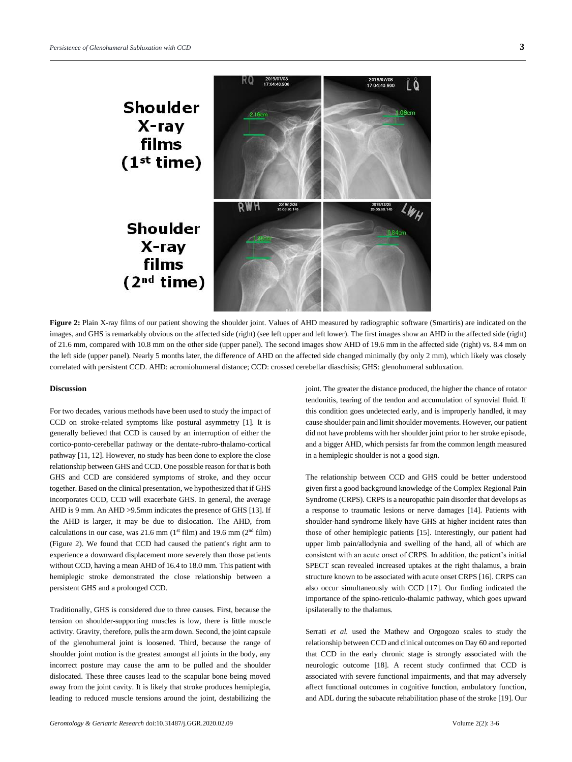

**Figure 2:** Plain X-ray films of our patient showing the shoulder joint. Values of AHD measured by radiographic software (Smartiris) are indicated on the images, and GHS is remarkably obvious on the affected side (right) (see left upper and left lower). The first images show an AHD in the affected side (right) of 21.6 mm, compared with 10.8 mm on the other side (upper panel). The second images show AHD of 19.6 mm in the affected side (right) vs. 8.4 mm on the left side (upper panel). Nearly 5 months later, the difference of AHD on the affected side changed minimally (by only 2 mm), which likely was closely correlated with persistent CCD. AHD: acromiohumeral distance; CCD: crossed cerebellar diaschisis; GHS: glenohumeral subluxation.

### **Discussion**

For two decades, various methods have been used to study the impact of CCD on stroke-related symptoms like postural asymmetry [1]. It is generally believed that CCD is caused by an interruption of either the cortico-ponto-cerebellar pathway or the dentate-rubro-thalamo-cortical pathway [11, 12]. However, no study has been done to explore the close relationship between GHS and CCD. One possible reason for that is both GHS and CCD are considered symptoms of stroke, and they occur together. Based on the clinical presentation, we hypothesized that if GHS incorporates CCD, CCD will exacerbate GHS. In general, the average AHD is 9 mm. An AHD >9.5mm indicates the presence of GHS [13]. If the AHD is larger, it may be due to dislocation. The AHD, from calculations in our case, was 21.6 mm ( $1<sup>st</sup>$  film) and 19.6 mm ( $2<sup>nd</sup>$  film) (Figure 2). We found that CCD had caused the patient's right arm to experience a downward displacement more severely than those patients without CCD, having a mean AHD of 16.4 to 18.0 mm. This patient with hemiplegic stroke demonstrated the close relationship between a persistent GHS and a prolonged CCD.

Traditionally, GHS is considered due to three causes. First, because the tension on shoulder-supporting muscles is low, there is little muscle activity. Gravity, therefore, pulls the arm down. Second, the joint capsule of the glenohumeral joint is loosened. Third, because the range of shoulder joint motion is the greatest amongst all joints in the body, any incorrect posture may cause the arm to be pulled and the shoulder dislocated. These three causes lead to the scapular bone being moved away from the joint cavity. It is likely that stroke produces hemiplegia, leading to reduced muscle tensions around the joint, destabilizing the

joint. The greater the distance produced, the higher the chance of rotator tendonitis, tearing of the tendon and accumulation of synovial fluid. If this condition goes undetected early, and is improperly handled, it may cause shoulder pain and limit shoulder movements. However, our patient did not have problems with her shoulder joint prior to her stroke episode, and a bigger AHD, which persists far from the common length measured in a hemiplegic shoulder is not a good sign.

The relationship between CCD and GHS could be better understood given first a good background knowledge of the Complex Regional Pain Syndrome (CRPS). CRPS is a neuropathic pain disorder that develops as a response to traumatic lesions or nerve damages [14]. Patients with shoulder-hand syndrome likely have GHS at higher incident rates than those of other hemiplegic patients [15]. Interestingly, our patient had upper limb pain/allodynia and swelling of the hand, all of which are consistent with an acute onset of CRPS. In addition, the patient's initial SPECT scan revealed increased uptakes at the right thalamus, a brain structure known to be associated with acute onset CRPS [16]. CRPS can also occur simultaneously with CCD [17]. Our finding indicated the importance of the spino-reticulo-thalamic pathway, which goes upward ipsilaterally to the thalamus.

Serrati *et al.* used the Mathew and Orgogozo scales to study the relationship between CCD and clinical outcomes on Day 60 and reported that CCD in the early chronic stage is strongly associated with the neurologic outcome [18]. A recent study confirmed that CCD is associated with severe functional impairments, and that may adversely affect functional outcomes in cognitive function, ambulatory function, and ADL during the subacute rehabilitation phase of the stroke [19]. Our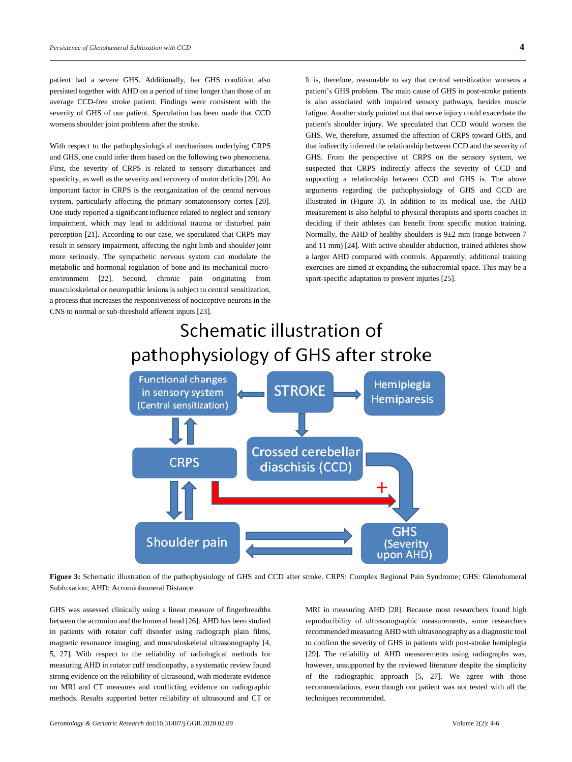patient had a severe GHS. Additionally, her GHS condition also persisted together with AHD on a period of time longer than those of an average CCD-free stroke patient. Findings were consistent with the severity of GHS of our patient. Speculation has been made that CCD worsens shoulder joint problems after the stroke.

With respect to the pathophysiological mechanisms underlying CRPS and GHS, one could infer them based on the following two phenomena. First, the severity of CRPS is related to sensory disturbances and spasticity, as well as the severity and recovery of motor deficits [20]. An important factor in CRPS is the reorganization of the central nervous system, particularly affecting the primary somatosensory cortex [20]. One study reported a significant influence related to neglect and sensory impairment, which may lead to additional trauma or disturbed pain perception [21]. According to our case, we speculated that CRPS may result in sensory impairment, affecting the right limb and shoulder joint more seriously. The sympathetic nervous system can modulate the metabolic and hormonal regulation of bone and its mechanical microenvironment [22]. Second, chronic pain originating from musculoskeletal or neuropathic lesions is subject to central sensitization, a process that increases the responsiveness of nociceptive neurons in the CNS to normal or sub-threshold afferent inputs [23].

It is, therefore, reasonable to say that central sensitization worsens a patient's GHS problem. The main cause of GHS in post-stroke patients is also associated with impaired sensory pathways, besides muscle fatigue. Another study pointed out that nerve injury could exacerbate the patient's shoulder injury. We speculated that CCD would worsen the GHS. We, therefore, assumed the affection of CRPS toward GHS, and that indirectly inferred the relationship between CCD and the severity of GHS. From the perspective of CRPS on the sensory system, we suspected that CRPS indirectly affects the severity of CCD and supporting a relationship between CCD and GHS is. The above arguments regarding the pathophysiology of GHS and CCD are illustrated in (Figure 3). In addition to its medical use, the AHD measurement is also helpful to physical therapists and sports coaches in deciding if their athletes can benefit from specific motion training. Normally, the AHD of healthy shoulders is 9±2 mm (range between 7 and 11 mm) [24]. With active shoulder abduction, trained athletes show a larger AHD compared with controls. Apparently, additional training exercises are aimed at expanding the subacromial space. This may be a sport-specific adaptation to prevent injuries [25].

## pathophysiology of GHS after stroke **Functional changes** Hemiplegia **STROKE** in sensory system **Hemiparesis** (Central sensitization) **Crossed cerebellar CRPS** diaschisis (CCD) GHS Shoulder pain (Severity upon AHD

Schematic illustration of

**Figure 3:** Schematic illustration of the pathophysiology of GHS and CCD after stroke. CRPS: Complex Regional Pain Syndrome; GHS: Glenohumeral Subluxation; AHD: Acromiohumeral Distance.

GHS was assessed clinically using a linear measure of fingerbreadths between the acromion and the humeral head [26]. AHD has been studied in patients with rotator cuff disorder using radiograph plain films, magnetic resonance imaging, and musculoskeletal ultrasonography [4, 5, 27]. With respect to the reliability of radiological methods for measuring AHD in rotator cuff tendinopathy, a systematic review found strong evidence on the reliability of ultrasound, with moderate evidence on MRI and CT measures and conflicting evidence on radiographic methods. Results supported better reliability of ultrasound and CT or

MRI in measuring AHD [28]. Because most researchers found high reproducibility of ultrasonographic measurements, some researchers recommended measuring AHD with ultrasonography as a diagnostic tool to confirm the severity of GHS in patients with post-stroke hemiplegia [29]. The reliability of AHD measurements using radiographs was, however, unsupported by the reviewed literature despite the simplicity of the radiographic approach [5, 27]. We agree with those recommendations, even though our patient was not tested with all the techniques recommended.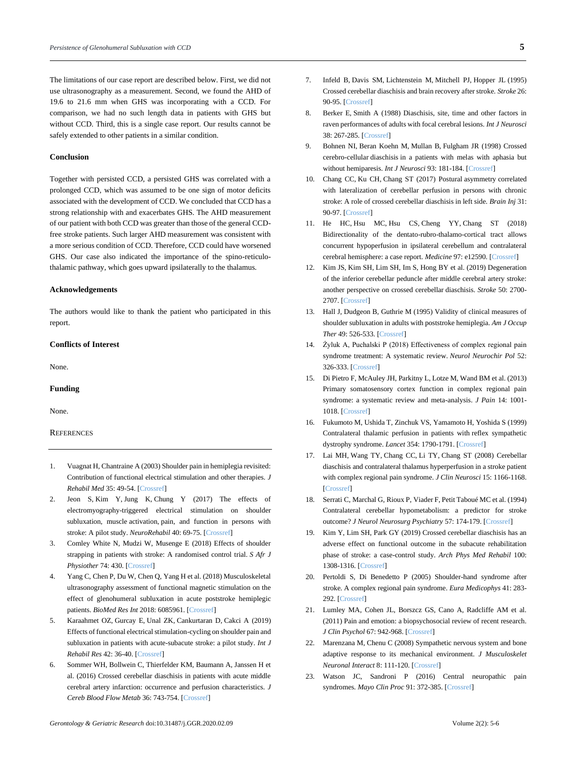The limitations of our case report are described below. First, we did not use ultrasonography as a measurement. Second, we found the AHD of 19.6 to 21.6 mm when GHS was incorporating with a CCD. For comparison, we had no such length data in patients with GHS but without CCD. Third, this is a single case report. Our results cannot be safely extended to other patients in a similar condition.

### **Conclusion**

Together with persisted CCD, a persisted GHS was correlated with a prolonged CCD, which was assumed to be one sign of motor deficits associated with the development of CCD. We concluded that CCD has a strong relationship with and exacerbates GHS. The AHD measurement of our patient with both CCD was greater than those of the general CCDfree stroke patients. Such larger AHD measurement was consistent with a more serious condition of CCD. Therefore, CCD could have worsened GHS. Our case also indicated the importance of the spino-reticulothalamic pathway, which goes upward ipsilaterally to the thalamus.

#### **Acknowledgements**

The authors would like to thank the patient who participated in this report.

#### **Conflicts of Interest**

None.

### **Funding**

None.

**REFERENCES** 

- 1. Vuagnat H, Chantraine A (2003) Shoulder pain in hemiplegia revisited: Contribution of functional electrical stimulation and other therapies. *J Rehabil Med* 35: 49-54. [\[Crossref\]](https://pubmed.ncbi.nlm.nih.gov/12691333/)
- 2. Jeon S, Kim Y, Jung K, Chung Y (2017) The effects of electromyography-triggered electrical stimulation on shoulder subluxation, muscle activation, pain, and function in persons with stroke: A pilot study. *NeuroRehabil* 40: 69-75. [\[Crossref\]](https://pubmed.ncbi.nlm.nih.gov/27792019/)
- 3. Comley White N, Mudzi W, Musenge E (2018) Effects of shoulder strapping in patients with stroke: A randomised control trial. *S Afr J Physiother* 74: 430. [\[Crossref\]](https://pubmed.ncbi.nlm.nih.gov/30214946/)
- 4. Yang C, Chen P, Du W, Chen Q, Yang H et al. (2018) Musculoskeletal ultrasonography assessment of functional magnetic stimulation on the effect of glenohumeral subluxation in acute poststroke hemiplegic patients. *BioMed Res Int* 2018: 6085961. [\[Crossref\]](https://pubmed.ncbi.nlm.nih.gov/30065941/)
- 5. Karaahmet OZ, Gurcay E, Unal ZK, Cankurtaran D, Cakci A (2019) Effects of functional electrical stimulation-cycling on shoulder pain and subluxation in patients with acute-subacute stroke: a pilot study. *Int J Rehabil Res* 42: 36-40. [\[Crossref\]](https://pubmed.ncbi.nlm.nih.gov/30234733/)
- 6. Sommer WH, Bollwein C, Thierfelder KM, Baumann A, Janssen H et al. (2016) Crossed cerebellar diaschisis in patients with acute middle cerebral artery infarction: occurrence and perfusion characteristics. *J Cereb Blood Flow Metab* 36: 743-754. [\[Crossref\]](https://pubmed.ncbi.nlm.nih.gov/26661242/)
- 7. Infeld B, Davis SM, Lichtenstein M, Mitchell PJ, Hopper JL (1995) Crossed cerebellar diaschisis and brain recovery after stroke. *Stroke* 26: 90-95. [\[Crossref\]](https://pubmed.ncbi.nlm.nih.gov/7839405/)
- 8. Berker E, Smith A (1988) Diaschisis, site, time and other factors in raven performances of adults with focal cerebral lesions. *Int J Neurosci*  38: 267-285. [\[Crossref\]](https://pubmed.ncbi.nlm.nih.gov/3286556/)
- 9. Bohnen NI, Beran Koehn M, Mullan B, Fulgham JR (1998) Crossed cerebro-cellular diaschisis in a patients with melas with aphasia but without hemiparesis. *Int J Neurosci* 93: 181-184. [\[Crossref\]](https://pubmed.ncbi.nlm.nih.gov/9639234/)
- 10. Chang CC, Ku CH, Chang ST (2017) Postural asymmetry correlated with lateralization of cerebellar perfusion in persons with chronic stroke: A role of crossed cerebellar diaschisis in left side. *Brain Inj* 31: 90-97. [\[Crossref\]](https://pubmed.ncbi.nlm.nih.gov/27830942/)
- 11. He HC, Hsu MC, Hsu CS, Cheng YY, Chang ST (2018) Bidirectionality of the dentato-rubro-thalamo-cortical tract allows concurrent hypoperfusion in ipsilateral cerebellum and contralateral cerebral hemisphere: a case report. *Medicine* 97: e12590. [\[Crossref\]](https://pubmed.ncbi.nlm.nih.gov/30290625/)
- 12. Kim JS, Kim SH, Lim SH, Im S, Hong BY et al. (2019) Degeneration of the inferior cerebellar peduncle after middle cerebral artery stroke: another perspective on crossed cerebellar diaschisis. *Stroke* 50: 2700- 2707. [\[Crossref\]](https://pubmed.ncbi.nlm.nih.gov/31446886/)
- 13. Hall J, Dudgeon B, Guthrie M (1995) Validity of clinical measures of shoulder subluxation in adults with poststroke hemiplegia. *Am J Occup Ther* 49: 526-533. [\[Crossref\]](https://pubmed.ncbi.nlm.nih.gov/7645665/)
- 14. Żyluk A, Puchalski P (2018) Effectiveness of complex regional pain syndrome treatment: A systematic review. *Neurol Neurochir Pol* 52: 326-333. [\[Crossref\]](https://pubmed.ncbi.nlm.nih.gov/29559178/)
- 15. Di Pietro F, McAuley JH, Parkitny L, Lotze M, Wand BM et al. (2013) Primary somatosensory cortex function in complex regional pain syndrome: a systematic review and meta-analysis. *J Pain* 14: 1001- 1018. [\[Crossref\]](https://pubmed.ncbi.nlm.nih.gov/23726046/)
- 16. Fukumoto M, Ushida T, Zinchuk VS, Yamamoto H, Yoshida S (1999) Contralateral thalamic perfusion in patients with reflex sympathetic dystrophy syndrome. *Lancet* 354: 1790-1791. [\[Crossref\]](https://pubmed.ncbi.nlm.nih.gov/10577646/)
- 17. Lai MH, Wang TY, Chang CC, Li TY, Chang ST (2008) Cerebellar diaschisis and contralateral thalamus hyperperfusion in a stroke patient with complex regional pain syndrome. *J Clin Neurosci* 15: 1166-1168. [\[Crossref\]](https://pubmed.ncbi.nlm.nih.gov/18707887/)
- 18. Serrati C, Marchal G, Rioux P, Viader F, Petit Taboué MC et al. (1994) Contralateral cerebellar hypometabolism: a predictor for stroke outcome? *J Neurol Neurosurg Psychiatry* 57: 174-179. [\[Crossref\]](https://pubmed.ncbi.nlm.nih.gov/8126499/)
- 19. Kim Y, Lim SH, Park GY (2019) Crossed cerebellar diaschisis has an adverse effect on functional outcome in the subacute rehabilitation phase of stroke: a case-control study. *Arch Phys Med Rehabil* 100: 1308-1316. [\[Crossref\]](https://pubmed.ncbi.nlm.nih.gov/30876843/)
- 20. Pertoldi S, Di Benedetto P (2005) Shoulder-hand syndrome after stroke. A complex regional pain syndrome. *Eura Medicophys* 41: 283- 292. [\[Crossref\]](https://pubmed.ncbi.nlm.nih.gov/16474282/)
- 21. Lumley MA, Cohen JL, Borszcz GS, Cano A, Radcliffe AM et al. (2011) Pain and emotion: a biopsychosocial review of recent research. *J Clin Psychol* 67: 942-968. [\[Crossref\]](https://pubmed.ncbi.nlm.nih.gov/21647882/)
- 22. Marenzana M, Chenu C (2008) Sympathetic nervous system and bone adaptive response to its mechanical environment. *J Musculoskelet Neuronal Interact* 8: 111-120. [\[Crossref\]](https://pubmed.ncbi.nlm.nih.gov/18622080/)
- 23. Watson JC, Sandroni P (2016) Central neuropathic pain syndromes. *Mayo Clin Proc* 91: 372-385. [\[Crossref\]](https://pubmed.ncbi.nlm.nih.gov/26944242/)